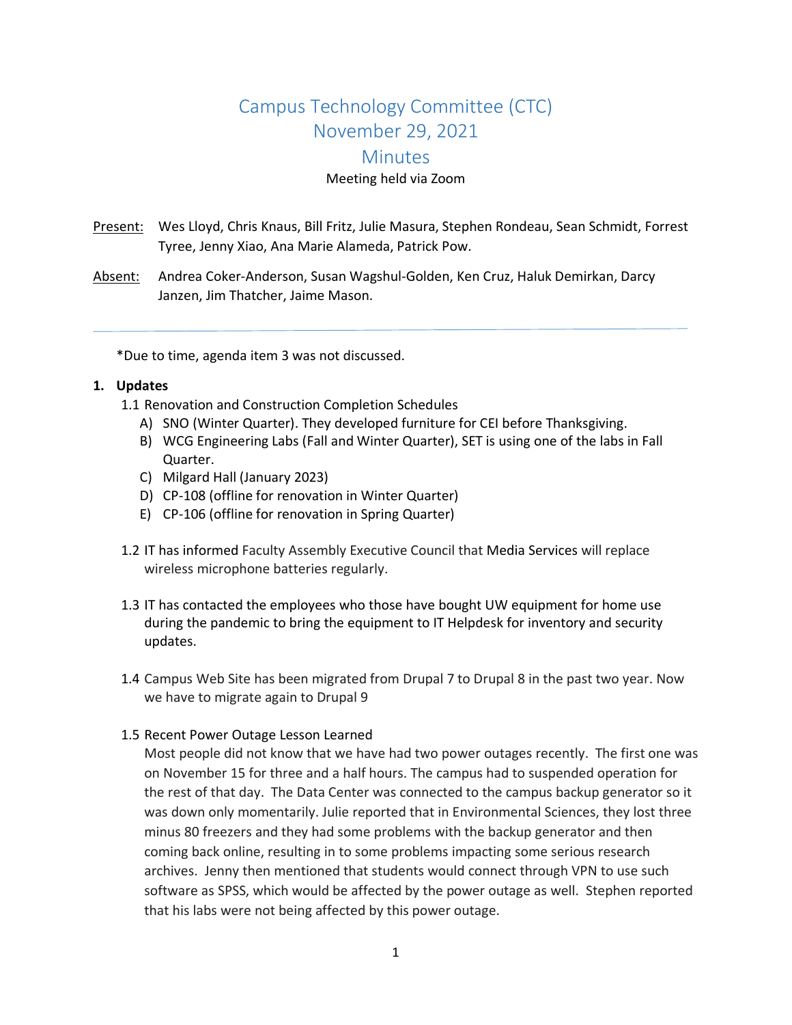# Campus Technology Committee (CTC) November 29, 2021 **Minutes**

#### Meeting held via Zoom

- Present: Wes Lloyd, Chris Knaus, Bill Fritz, Julie Masura, Stephen Rondeau, Sean Schmidt, Forrest Tyree, Jenny Xiao, Ana Marie Alameda, Patrick Pow.
- Absent: Andrea Coker-Anderson, Susan Wagshul-Golden, Ken Cruz, Haluk Demirkan, Darcy Janzen, Jim Thatcher, Jaime Mason.

\*Due to time, agenda item 3 was not discussed.

#### **1. Updates**

1.1 Renovation and Construction Completion Schedules

- A) SNO (Winter Quarter). They developed furniture for CEI before Thanksgiving.
- B) WCG Engineering Labs (Fall and Winter Quarter), SET is using one of the labs in Fall Quarter.
- C) Milgard Hall (January 2023)
- D) CP-108 (offline for renovation in Winter Quarter)
- E) CP-106 (offline for renovation in Spring Quarter)
- 1.2 IT has informed Faculty Assembly Executive Council that Media Services will replace wireless microphone batteries regularly.
- 1.3 IT has contacted the employees who those have bought UW equipment for home use during the pandemic to bring the equipment to IT Helpdesk for inventory and security updates.
- 1.4 Campus Web Site has been migrated from Drupal 7 to Drupal 8 in the past two year. Now we have to migrate again to Drupal 9

#### 1.5 Recent Power Outage Lesson Learned

Most people did not know that we have had two power outages recently. The first one was on November 15 for three and a half hours. The campus had to suspended operation for the rest of that day. The Data Center was connected to the campus backup generator so it was down only momentarily. Julie reported that in Environmental Sciences, they lost three minus 80 freezers and they had some problems with the backup generator and then coming back online, resulting in to some problems impacting some serious research archives. Jenny then mentioned that students would connect through VPN to use such software as SPSS, which would be affected by the power outage as well. Stephen reported that his labs were not being affected by this power outage.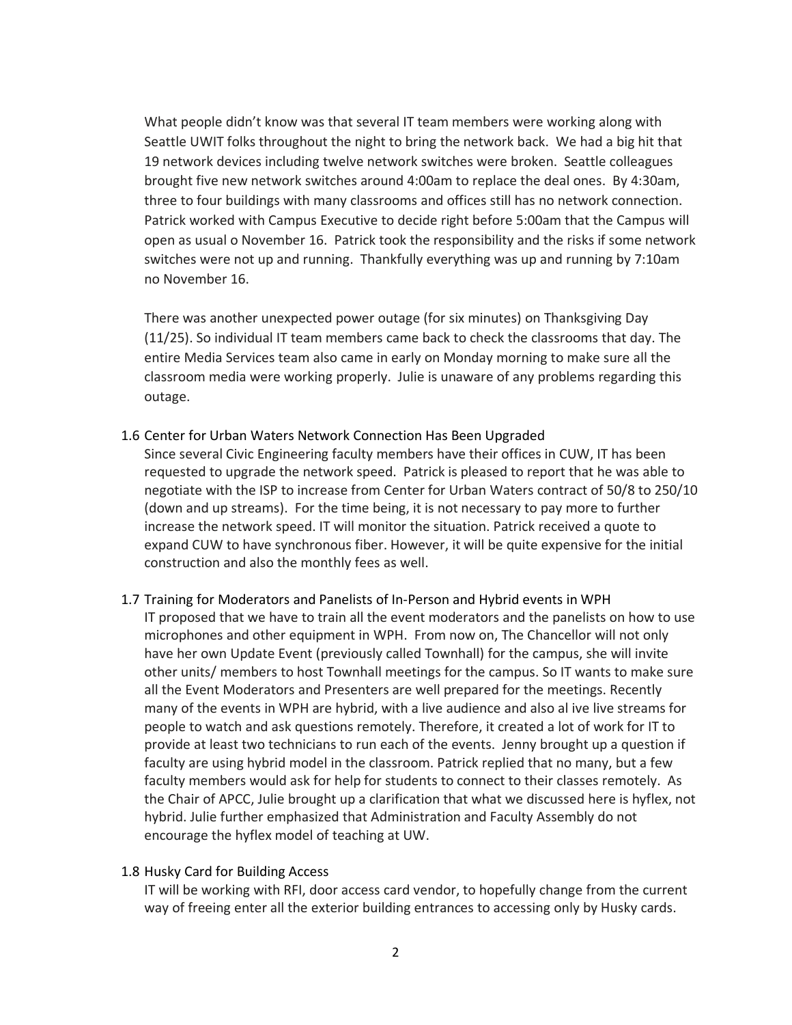What people didn't know was that several IT team members were working along with Seattle UWIT folks throughout the night to bring the network back. We had a big hit that 19 network devices including twelve network switches were broken. Seattle colleagues brought five new network switches around 4:00am to replace the deal ones. By 4:30am, three to four buildings with many classrooms and offices still has no network connection. Patrick worked with Campus Executive to decide right before 5:00am that the Campus will open as usual o November 16. Patrick took the responsibility and the risks if some network switches were not up and running. Thankfully everything was up and running by 7:10am no November 16.

There was another unexpected power outage (for six minutes) on Thanksgiving Day (11/25). So individual IT team members came back to check the classrooms that day. The entire Media Services team also came in early on Monday morning to make sure all the classroom media were working properly. Julie is unaware of any problems regarding this outage.

#### 1.6 Center for Urban Waters Network Connection Has Been Upgraded

Since several Civic Engineering faculty members have their offices in CUW, IT has been requested to upgrade the network speed. Patrick is pleased to report that he was able to negotiate with the ISP to increase from Center for Urban Waters contract of 50/8 to 250/10 (down and up streams). For the time being, it is not necessary to pay more to further increase the network speed. IT will monitor the situation. Patrick received a quote to expand CUW to have synchronous fiber. However, it will be quite expensive for the initial construction and also the monthly fees as well.

# 1.7 Training for Moderators and Panelists of In-Person and Hybrid events in WPH

IT proposed that we have to train all the event moderators and the panelists on how to use microphones and other equipment in WPH. From now on, The Chancellor will not only have her own Update Event (previously called Townhall) for the campus, she will invite other units/ members to host Townhall meetings for the campus. So IT wants to make sure all the Event Moderators and Presenters are well prepared for the meetings. Recently many of the events in WPH are hybrid, with a live audience and also al ive live streams for people to watch and ask questions remotely. Therefore, it created a lot of work for IT to provide at least two technicians to run each of the events. Jenny brought up a question if faculty are using hybrid model in the classroom. Patrick replied that no many, but a few faculty members would ask for help for students to connect to their classes remotely. As the Chair of APCC, Julie brought up a clarification that what we discussed here is hyflex, not hybrid. Julie further emphasized that Administration and Faculty Assembly do not encourage the hyflex model of teaching at UW.

#### 1.8 Husky Card for Building Access

IT will be working with RFI, door access card vendor, to hopefully change from the current way of freeing enter all the exterior building entrances to accessing only by Husky cards.